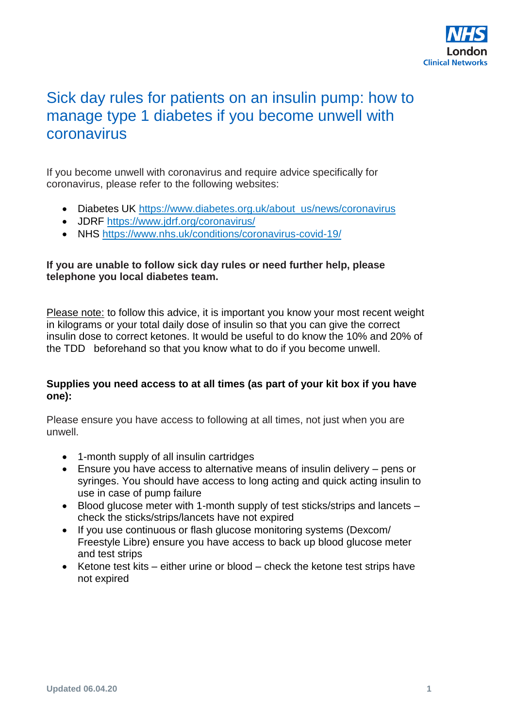

### Sick day rules for patients on an insulin pump: how to manage type 1 diabetes if you become unwell with coronavirus

If you become unwell with coronavirus and require advice specifically for coronavirus, please refer to the following websites:

- Diabetes UK [https://www.diabetes.org.uk/about\\_us/news/coronavirus](https://www.diabetes.org.uk/about_us/news/coronavirus)
- JDRF<https://www.jdrf.org/coronavirus/>
- NHS<https://www.nhs.uk/conditions/coronavirus-covid-19/>

#### **If you are unable to follow sick day rules or need further help, please telephone you local diabetes team.**

Please note: to follow this advice, it is important you know your most recent weight in kilograms or your total daily dose of insulin so that you can give the correct insulin dose to correct ketones. It would be useful to do know the 10% and 20% of the TDD beforehand so that you know what to do if you become unwell.

#### **Supplies you need access to at all times (as part of your kit box if you have one):**

Please ensure you have access to following at all times, not just when you are unwell.

- 1-month supply of all insulin cartridges
- Ensure you have access to alternative means of insulin delivery pens or syringes. You should have access to long acting and quick acting insulin to use in case of pump failure
- Blood glucose meter with 1-month supply of test sticks/strips and lancets check the sticks/strips/lancets have not expired
- If you use continuous or flash glucose monitoring systems (Dexcom/ Freestyle Libre) ensure you have access to back up blood glucose meter and test strips
- Ketone test kits either urine or blood check the ketone test strips have not expired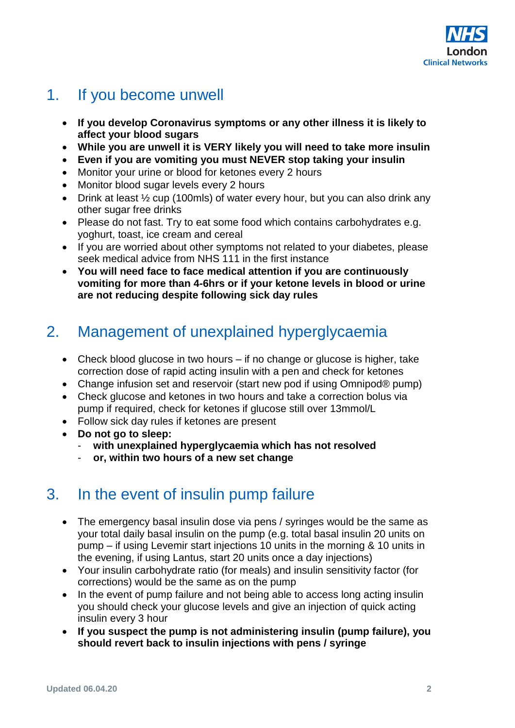

# 1. If you become unwell

- **If you develop Coronavirus symptoms or any other illness it is likely to affect your blood sugars**
- **While you are unwell it is VERY likely you will need to take more insulin**
- **Even if you are vomiting you must NEVER stop taking your insulin**
- Monitor your urine or blood for ketones every 2 hours
- Monitor blood sugar levels every 2 hours
- Drink at least  $\frac{1}{2}$  cup (100mls) of water every hour, but you can also drink any other sugar free drinks
- Please do not fast. Try to eat some food which contains carbohydrates e.g. yoghurt, toast, ice cream and cereal
- If you are worried about other symptoms not related to your diabetes, please seek medical advice from NHS 111 in the first instance
- **You will need face to face medical attention if you are continuously vomiting for more than 4-6hrs or if your ketone levels in blood or urine are not reducing despite following sick day rules**

# 2. Management of unexplained hyperglycaemia

- Check blood glucose in two hours if no change or glucose is higher, take correction dose of rapid acting insulin with a pen and check for ketones
- Change infusion set and reservoir (start new pod if using Omnipod® pump)
- Check glucose and ketones in two hours and take a correction bolus via pump if required, check for ketones if glucose still over 13mmol/L
- Follow sick day rules if ketones are present
- **Do not go to sleep:**
	- **with unexplained hyperglycaemia which has not resolved**
	- or, within two hours of a new set change

## 3. In the event of insulin pump failure

- The emergency basal insulin dose via pens / syringes would be the same as your total daily basal insulin on the pump (e.g. total basal insulin 20 units on pump – if using Levemir start injections 10 units in the morning & 10 units in the evening, if using Lantus, start 20 units once a day injections)
- Your insulin carbohydrate ratio (for meals) and insulin sensitivity factor (for corrections) would be the same as on the pump
- In the event of pump failure and not being able to access long acting insulin you should check your glucose levels and give an injection of quick acting insulin every 3 hour
- **If you suspect the pump is not administering insulin (pump failure), you should revert back to insulin injections with pens / syringe**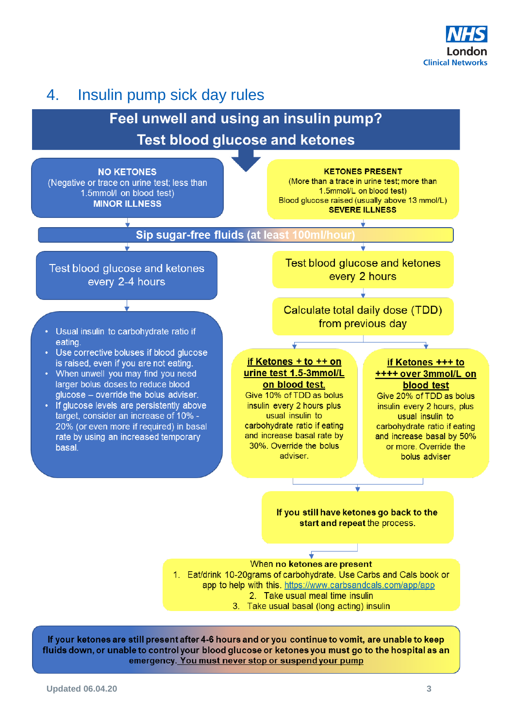

# 4. Insulin pump sick day rules

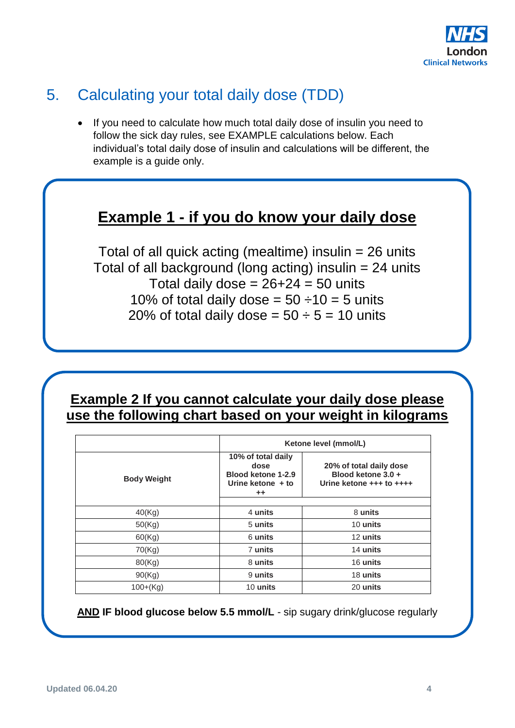

# 5. Calculating your total daily dose (TDD)

• If you need to calculate how much total daily dose of insulin you need to follow the sick day rules, see EXAMPLE calculations below. Each individual's total daily dose of insulin and calculations will be different, the example is a guide only.

### **Example 1 - if you do know your daily dose**

Total of all quick acting (mealtime) insulin = 26 units Total of all background (long acting) insulin = 24 units Total daily dose =  $26+24 = 50$  units 10% of total daily dose =  $50 \div 10 = 5$  units 20% of total daily dose =  $50 \div 5 = 10$  units

#### **Example 2 If you cannot calculate your daily dose please use the following chart based on your weight in kilograms**

|                    |                                                                                            | Ketone level (mmol/L)                                                     |  |
|--------------------|--------------------------------------------------------------------------------------------|---------------------------------------------------------------------------|--|
| <b>Body Weight</b> | 10% of total daily<br>dose<br>Blood ketone 1-2.9<br>Urine ketone $+$ to<br>$^{\mathrm{+}}$ | 20% of total daily dose<br>Blood ketone 3.0 +<br>Urine ketone +++ to ++++ |  |
| 40(Kg)             | 4 units                                                                                    | 8 units                                                                   |  |
| 50(Kg)             | 5 units                                                                                    | 10 units                                                                  |  |
| 60(Kg)             | 6 units                                                                                    | 12 units                                                                  |  |
| 70(Kg)             | 7 units                                                                                    | 14 units                                                                  |  |
| 80(Kg)             | 8 units                                                                                    | 16 units                                                                  |  |
| 90(Kg)             | 9 units                                                                                    | 18 units                                                                  |  |
| $100+(Kg)$         | 10 units                                                                                   | 20 units                                                                  |  |

**AND IF blood glucose below 5.5 mmol/L** - sip sugary drink/glucose regularly